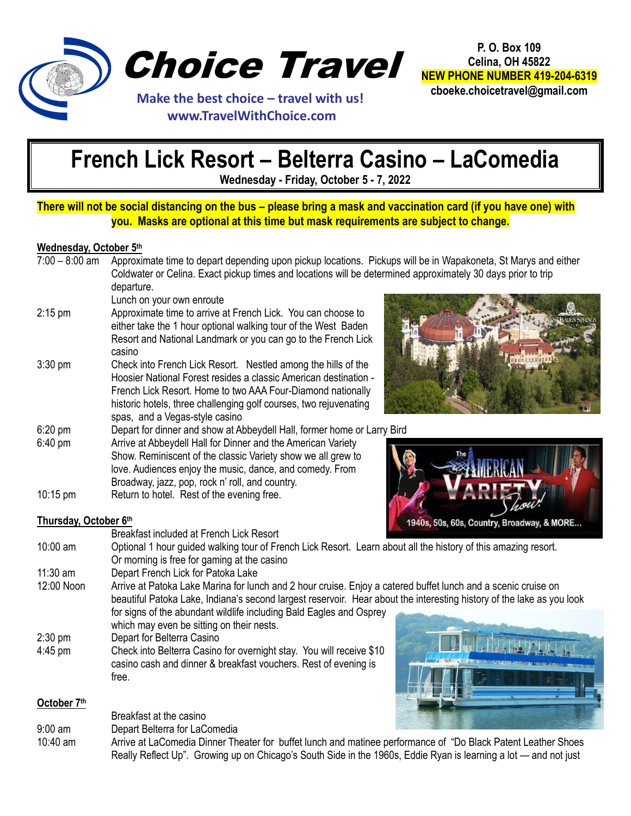

 **www.TravelWithChoice.com**

**P. O. Box 109 Celina, OH 45822 NEW PHONE NUMBER 419-204-6319 cboeke.choicetravel@gmail.com**

**French Lick Resort – Belterra Casino – LaComedia**

**Wednesday - Friday, October 5 - 7, 2022**

# **There will not be social distancing on the bus – please bring a mask and vaccination card (if you have one) with you. Masks are optional at this time but mask requirements are subject to change.**

## **Wednesday, October 5th**

| $7:00 - 8:00$ am     | Approximate time to depart depending upon pickup locations. Pickups will be in Wapakoneta, St Marys and either<br>Coldwater or Celina. Exact pickup times and locations will be determined approximately 30 days prior to trip                                                                                         |  |
|----------------------|------------------------------------------------------------------------------------------------------------------------------------------------------------------------------------------------------------------------------------------------------------------------------------------------------------------------|--|
|                      | departure.<br>Lunch on your own enroute                                                                                                                                                                                                                                                                                |  |
| $2:15$ pm            | Approximate time to arrive at French Lick. You can choose to<br>either take the 1 hour optional walking tour of the West Baden<br>Resort and National Landmark or you can go to the French Lick<br>casino                                                                                                              |  |
| $3:30$ pm            | Check into French Lick Resort. Nestled among the hills of the<br>Hoosier National Forest resides a classic American destination -<br>French Lick Resort. Home to two AAA Four-Diamond nationally<br>historic hotels, three challenging golf courses, two rejuvenating<br>spas, and a Vegas-style casino                |  |
| $6:20$ pm<br>6:40 pm | Depart for dinner and show at Abbeydell Hall, former home or Larry Bird<br>Arrive at Abbeydell Hall for Dinner and the American Variety<br>Show. Reminiscent of the classic Variety show we all grew to<br>love. Audiences enjoy the music, dance, and comedy. From<br>Broadway, jazz, pop, rock n' roll, and country. |  |
| 10:15 pm             | Return to hotel. Rest of the evening free.                                                                                                                                                                                                                                                                             |  |

**Thursday, October 6th**



- Breakfast included at French Lick Resort 10:00 am Optional 1 hour guided walking tour of French Lick Resort. Learn about all the history of this amazing resort. Or morning is free for gaming at the casino 11:30 am Depart French Lick for Patoka Lake 12:00 Noon Arrive at Patoka Lake Marina for lunch and 2 hour cruise. Enjoy a catered buffet lunch and a scenic cruise on
- beautiful Patoka Lake, Indiana's second largest reservoir. Hear about the interesting history of the lake as you look for signs of the abundant wildlife including Bald Eagles and Osprey
- which may even be sitting on their nests. 2:30 pm Depart for Belterra Casino 4:45 pm Check into Belterra Casino for overnight stay. You will receive \$10 casino cash and dinner & breakfast vouchers. Rest of evening is free.

## **October 7th**

Breakfast at the casino

- 9:00 am Depart Belterra for LaComedia
- 10:40 am Arrive at LaComedia Dinner Theater for buffet lunch and matinee performance of "Do Black Patent Leather Shoes Really Reflect Up". Growing up on Chicago's South Side in the 1960s, Eddie Ryan is learning a lot — and not just